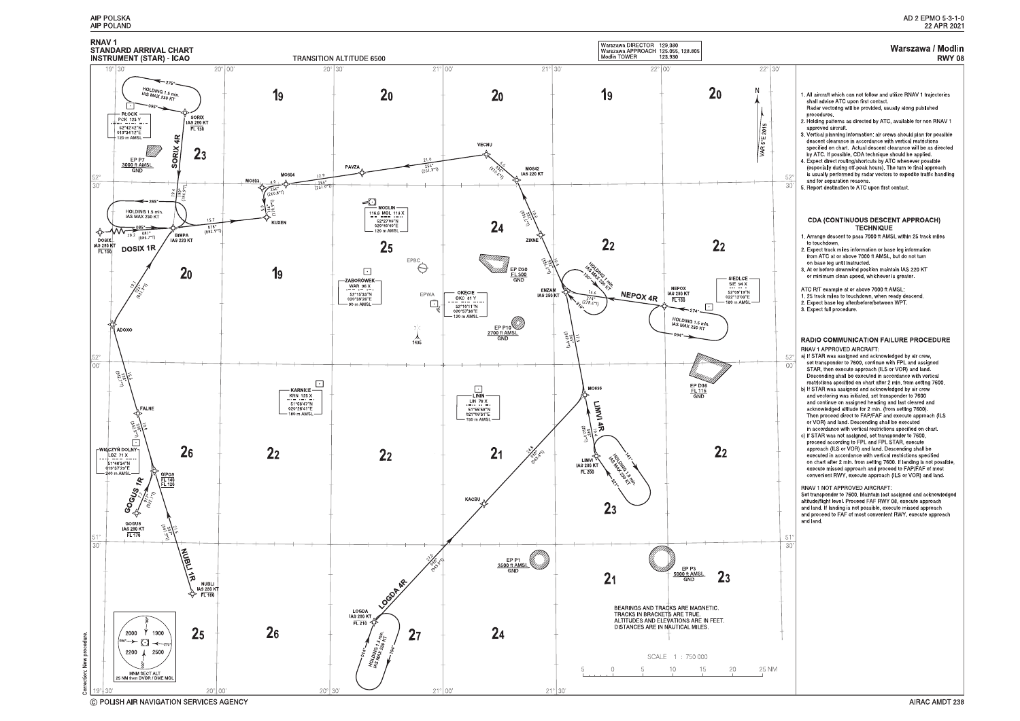



<sup>©</sup> POLISH AIR NAVIGATION SERVICES AGENCY

#### Warszawa / Modlin **RWY 08**

| iO,<br>$52^\circ$<br>30 | 1. All aircraft which can not follow and utilize RNAV 1 trajectories<br>shall advise ATC upon first contact.<br>Radar vectoring will be provided, usually along published<br>procedures.<br>2. Holding patterns as directed by ATC, available for non RNAV 1<br>approved aircraft.<br>3. Vertical planning information: air crews should plan for possible<br>descent clearance in accordance with vertical restrictions<br>specified on chart Actual descent clearance will be as directed<br>by ATC. If possible, CDA technique should be applied.<br>4 Expect direct routing/shortcuts by ATC whenever possible<br>(especially during off-peak hours). The turn to final approach<br>is usually performed by radar vectors to expedite traffic handling<br>and for separation reasons.<br>5 Report destination to ATC upon first contact.                                                                                                                                                                                                                                                                                                                                                                                                                      |
|-------------------------|-------------------------------------------------------------------------------------------------------------------------------------------------------------------------------------------------------------------------------------------------------------------------------------------------------------------------------------------------------------------------------------------------------------------------------------------------------------------------------------------------------------------------------------------------------------------------------------------------------------------------------------------------------------------------------------------------------------------------------------------------------------------------------------------------------------------------------------------------------------------------------------------------------------------------------------------------------------------------------------------------------------------------------------------------------------------------------------------------------------------------------------------------------------------------------------------------------------------------------------------------------------------|
|                         | CDA (CONTINUOUS DESCENT APPROACH)<br><b>TECHNIQUE</b><br>1. Arrange descent to pass 7000 ft AMSL within 25 track miles<br>to touchdown.<br>2. Expect track miles information or base leg information<br>from ATC at or above 7000 ft AMSL, but do not turn<br>on base leg until instructed.<br>3. At or before downwind position maintain IAS 220 KT<br>or minimum clean speed, whichever is greater.<br>ATC R/T example at or above 7000 ft AMSL.<br>1. 25 track miles to touchdown, when ready descend.<br>2 Expect base leg after/before/between WPT<br>3. Expect full procedure.                                                                                                                                                                                                                                                                                                                                                                                                                                                                                                                                                                                                                                                                              |
| 52°<br>00               | <b>RADIO COMMUNICATION FAILURE PROCEDURE</b><br>RNAV 1 APPROVED AIRCRAFT.<br>a) If STAR was assigned and acknowledged by air crew,<br>set transponder to 7600, continue with FPL and assigned<br>STAR, then execute approach (ILS or VOR) and land.<br>Descending shall be executed in accordance with vertical<br>restrictions specified on chart after 2 min. from setting 7600.<br>b) If STAR was assigned and acknowledged by air crew<br>and vectoring was initiated, set transponder to 7600<br>and continue on assigned heading and last cleared and<br>acknowledged altitude for 2 min. (from setting 7600).<br>Then proceed direct to FAP/FAF and execute approach (ILS<br>or VOR) and land. Descending shall be executed<br>in accordance with vertical restrictions specified on chart.<br>c) If STAR was not assigned, set transponder to 7600,<br>proceed according to FPL and FPL STAR, execute<br>approach (ILS or VOR) and land. Descending shall be<br>executed in accordance with vertical restrictions specified<br>on chart after 2 min. from setting 7600. If landing is not possible,<br>execute missed approach and proceed to FAP/FAF of most<br>convenient RWY, execute approach (ILS or VOR) and land.<br>RNAV 1 NOT APPROVED AIRCRAFT: |
| 51°<br>30               | Set transponder to 7600. Maintain last assigned and acknowledged<br>altitude/flight level. Proceed FAF RWY 08, execute approach<br>and land. If landing is not possible, execute missed approach<br>and proceed to FAF of most convenient RWY, execute approach<br>and land.                                                                                                                                                                                                                                                                                                                                                                                                                                                                                                                                                                                                                                                                                                                                                                                                                                                                                                                                                                                      |
|                         |                                                                                                                                                                                                                                                                                                                                                                                                                                                                                                                                                                                                                                                                                                                                                                                                                                                                                                                                                                                                                                                                                                                                                                                                                                                                   |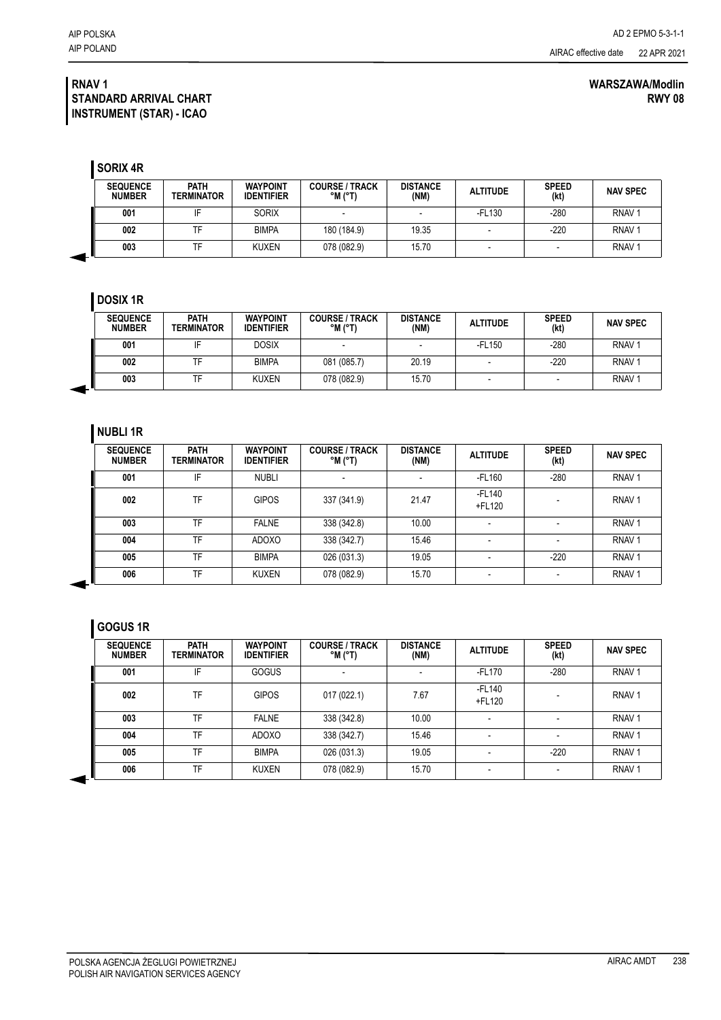#### **RNAV 1 STANDARD ARRIVAL CHART INSTRUMENT (STAR) - ICAO**

**SORIX 4R**

| <b>SEQUENCE</b><br><b>NUMBER</b> | <b>PATH</b><br><b>TERMINATOR</b> | <b>WAYPOINT</b><br><b>IDENTIFIER</b> | <b>COURSE / TRACK</b><br>$^{\circ}$ M $(^{\circ}$ T) | <b>DISTANCE</b><br>(NM) | <b>ALTITUDE</b> | <b>SPEED</b><br>(kt) | <b>NAV SPEC</b>   |
|----------------------------------|----------------------------------|--------------------------------------|------------------------------------------------------|-------------------------|-----------------|----------------------|-------------------|
| 001                              | IF                               | <b>SORIX</b>                         |                                                      | -                       | -FL130          | $-280$               | RNAV <sub>1</sub> |
| 002                              | ⊤⊏                               | <b>BIMPA</b>                         | 180 (184.9)                                          | 19.35                   |                 | $-220$               | RNAV <sub>1</sub> |
| 003                              | тF                               | <b>KUXEN</b>                         | 078 (082.9)                                          | 15.70                   |                 | -                    | RNAV <sub>1</sub> |

### **DOSIX 1R**

| <b>SEQUENCE</b><br><b>NUMBER</b> | <b>PATH</b><br>TERMINATOR | <b>WAYPOINT</b><br><b>IDENTIFIER</b> | <b>COURSE / TRACK</b><br>$^{\circ}$ M $^{\circ}$ T) | <b>DISTANCE</b><br>(NM) | <b>ALTITUDE</b> | <b>SPEED</b><br>(kt) | <b>NAV SPEC</b>   |
|----------------------------------|---------------------------|--------------------------------------|-----------------------------------------------------|-------------------------|-----------------|----------------------|-------------------|
| 001                              |                           | DOSIX                                |                                                     |                         | -FL150          | $-280$               | RNAV <sub>1</sub> |
| 002                              |                           | <b>BIMPA</b>                         | 081 (085.7)                                         | 20.19                   |                 | $-220$               | RNAV <sub>1</sub> |
| 003                              |                           | KUXEN                                | 078 (082.9)                                         | 15.70                   |                 |                      | RNAV <sub>1</sub> |

### **NUBLI 1R**

| <b>SEQUENCE</b><br><b>NUMBER</b> | <b>PATH</b><br>TERMINATOR | <b>WAYPOINT</b><br><b>IDENTIFIER</b> | <b>COURSE / TRACK</b><br>$^{\circ}$ M $^{\circ}$ T) | <b>DISTANCE</b><br>(NM) | <b>ALTITUDE</b>  | <b>SPEED</b><br>(kt) | <b>NAV SPEC</b>   |
|----------------------------------|---------------------------|--------------------------------------|-----------------------------------------------------|-------------------------|------------------|----------------------|-------------------|
| 001                              | IF                        | <b>NUBLI</b>                         |                                                     |                         | -FL160           | $-280$               | RNAV <sub>1</sub> |
| 002                              | TF                        | <b>GIPOS</b>                         | 337 (341.9)                                         | 21.47                   | -FL140<br>+FL120 |                      | RNAV <sub>1</sub> |
| 003                              | TF                        | <b>FALNE</b>                         | 338 (342.8)                                         | 10.00                   |                  |                      | RNAV <sub>1</sub> |
| 004                              | TF                        | <b>ADOXO</b>                         | 338 (342.7)                                         | 15.46                   | ۰                |                      | RNAV <sub>1</sub> |
| 005                              | TF                        | <b>BIMPA</b>                         | 026 (031.3)                                         | 19.05                   |                  | $-220$               | RNAV <sub>1</sub> |
| 006                              | TF                        | <b>KUXEN</b>                         | 078 (082.9)                                         | 15.70                   | -                |                      | RNAV <sub>1</sub> |

# **GOGUS 1R**

| <b>SEQUENCE</b><br><b>NUMBER</b> | <b>PATH</b><br>TERMINATOR | <b>WAYPOINT</b><br><b>IDENTIFIER</b> | <b>COURSE / TRACK</b><br>$^{\circ}$ M $^{\circ}$ T) | <b>DISTANCE</b><br>(NM) | <b>ALTITUDE</b>  | <b>SPEED</b><br>(kt) | <b>NAV SPEC</b>   |
|----------------------------------|---------------------------|--------------------------------------|-----------------------------------------------------|-------------------------|------------------|----------------------|-------------------|
| 001                              | IF                        | <b>GOGUS</b>                         |                                                     |                         | -FL170           | $-280$               | RNAV <sub>1</sub> |
| 002                              | TF                        | <b>GIPOS</b>                         | 017(022.1)                                          | 7.67                    | -FL140<br>+FL120 |                      | RNAV <sub>1</sub> |
| 003                              | TF                        | <b>FALNE</b>                         | 338 (342.8)                                         | 10.00                   |                  |                      | RNAV <sub>1</sub> |
| 004                              | TF                        | <b>ADOXO</b>                         | 338 (342.7)                                         | 15.46                   |                  |                      | RNAV <sub>1</sub> |
| 005                              | TF                        | <b>BIMPA</b>                         | 026 (031.3)                                         | 19.05                   |                  | $-220$               | RNAV <sub>1</sub> |
| 006                              | TF                        | <b>KUXEN</b>                         | 078 (082.9)                                         | 15.70                   |                  |                      | RNAV <sub>1</sub> |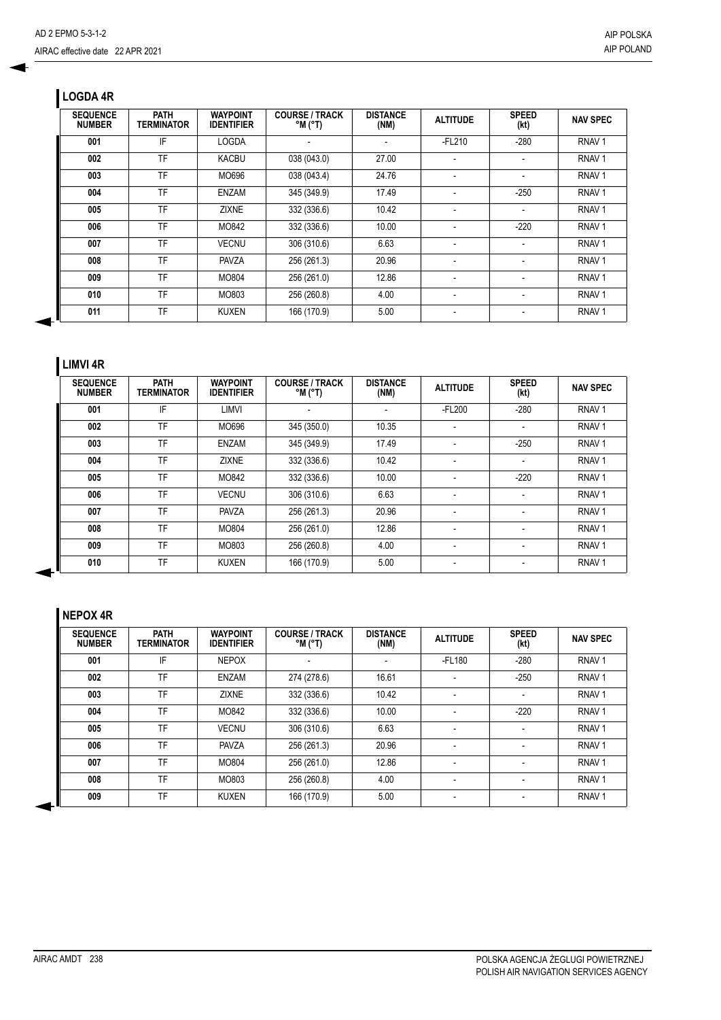# **LOGDA 4R**

| <b>SEQUENCE</b><br><b>NUMBER</b> | <b>PATH</b><br>TERMINATOR | <b>WAYPOINT</b><br><b>IDENTIFIER</b> | <b>COURSE / TRACK</b><br>$^{\circ}$ M ( $^{\circ}$ T) | <b>DISTANCE</b><br>(NM) | <b>ALTITUDE</b>          | <b>SPEED</b><br>(kt) | <b>NAV SPEC</b>   |
|----------------------------------|---------------------------|--------------------------------------|-------------------------------------------------------|-------------------------|--------------------------|----------------------|-------------------|
| 001                              | IF                        | <b>LOGDA</b>                         |                                                       |                         | $-FL210$                 | $-280$               | RNAV <sub>1</sub> |
| 002                              | TF                        | <b>KACBU</b>                         | 038 (043.0)                                           | 27.00                   |                          |                      | RNAV <sub>1</sub> |
| 003                              | <b>TF</b>                 | MO696                                | 038 (043.4)                                           | 24.76                   |                          |                      | RNAV <sub>1</sub> |
| 004                              | TF                        | <b>ENZAM</b>                         | 345 (349.9)                                           | 17.49                   |                          | $-250$               | RNAV <sub>1</sub> |
| 005                              | TF                        | <b>ZIXNE</b>                         | 332 (336.6)                                           | 10.42                   | $\overline{\phantom{a}}$ |                      | RNAV <sub>1</sub> |
| 006                              | TF                        | MO842                                | 332 (336.6)                                           | 10.00                   | $\overline{\phantom{a}}$ | $-220$               | RNAV <sub>1</sub> |
| 007                              | TF                        | <b>VECNU</b>                         | 306 (310.6)                                           | 6.63                    | $\overline{\phantom{a}}$ |                      | RNAV <sub>1</sub> |
| 008                              | TF                        | <b>PAVZA</b>                         | 256 (261.3)                                           | 20.96                   | $\overline{\phantom{a}}$ |                      | RNAV <sub>1</sub> |
| 009                              | TF                        | MO804                                | 256 (261.0)                                           | 12.86                   | $\overline{\phantom{a}}$ |                      | RNAV <sub>1</sub> |
| 010                              | TF                        | MO803                                | 256 (260.8)                                           | 4.00                    | $\overline{\phantom{a}}$ |                      | RNAV <sub>1</sub> |
| 011                              | TF                        | KUXEN                                | 166 (170.9)                                           | 5.00                    |                          |                      | RNAV <sub>1</sub> |

## **LIMVI 4R**

| <b>SEQUENCE</b><br><b>NUMBER</b> | <b>PATH</b><br>TERMINATOR | <b>WAYPOINT</b><br><b>IDENTIFIER</b> | <b>COURSE / TRACK</b><br>$^{\circ}$ M ( $^{\circ}$ T) | <b>DISTANCE</b><br>(NM) | <b>ALTITUDE</b>          | <b>SPEED</b><br>(kt) | <b>NAV SPEC</b>   |
|----------------------------------|---------------------------|--------------------------------------|-------------------------------------------------------|-------------------------|--------------------------|----------------------|-------------------|
| 001                              | IF                        | LIMVI                                |                                                       | ٠                       | $-FL200$                 | $-280$               | RNAV <sub>1</sub> |
| 002                              | TF                        | MO696                                | 345 (350.0)                                           | 10.35                   |                          |                      | RNAV <sub>1</sub> |
| 003                              | TF                        | ENZAM                                | 345 (349.9)                                           | 17.49                   |                          | $-250$               | RNAV <sub>1</sub> |
| 004                              | TF                        | <b>ZIXNE</b>                         | 332 (336.6)                                           | 10.42                   | ٠                        | ٠                    | RNAV <sub>1</sub> |
| 005                              | TF                        | MO842                                | 332 (336.6)                                           | 10.00                   | $\overline{\phantom{a}}$ | $-220$               | RNAV <sub>1</sub> |
| 006                              | TF                        | <b>VECNU</b>                         | 306 (310.6)                                           | 6.63                    | $\overline{\phantom{a}}$ |                      | RNAV <sub>1</sub> |
| 007                              | TF                        | PAVZA                                | 256 (261.3)                                           | 20.96                   |                          | ٠                    | RNAV <sub>1</sub> |
| 008                              | TF                        | MO804                                | 256 (261.0)                                           | 12.86                   |                          |                      | RNAV <sub>1</sub> |
| 009                              | TF                        | MO803                                | 256 (260.8)                                           | 4.00                    |                          |                      | RNAV <sub>1</sub> |
| 010                              | TF                        | <b>KUXEN</b>                         | 166 (170.9)                                           | 5.00                    | $\overline{\phantom{a}}$ | ٠                    | RNAV <sub>1</sub> |

## **NEPOX 4R**

| <b>SEQUENCE</b><br><b>NUMBER</b> | <b>PATH</b><br><b>TERMINATOR</b> | <b>WAYPOINT</b><br><b>IDENTIFIER</b> | <b>COURSE / TRACK</b><br>$^{\circ}$ M ( $^{\circ}$ T) | <b>DISTANCE</b><br>(NM) | <b>ALTITUDE</b> | <b>SPEED</b><br>(kt) | <b>NAV SPEC</b>   |
|----------------------------------|----------------------------------|--------------------------------------|-------------------------------------------------------|-------------------------|-----------------|----------------------|-------------------|
| 001                              | IF                               | <b>NEPOX</b>                         |                                                       |                         | -FL180          | $-280$               | RNAV <sub>1</sub> |
| 002                              | TF                               | ENZAM                                | 274 (278.6)                                           | 16.61                   | -               | $-250$               | RNAV <sub>1</sub> |
| 003                              | TF                               | <b>ZIXNE</b>                         | 332 (336.6)                                           | 10.42                   | ۰               |                      | RNAV <sub>1</sub> |
| 004                              | TF                               | MO842                                | 332 (336.6)                                           | 10.00                   |                 | $-220$               | RNAV <sub>1</sub> |
| 005                              | TF                               | <b>VECNU</b>                         | 306 (310.6)                                           | 6.63                    | ۰               |                      | RNAV <sub>1</sub> |
| 006                              | TF                               | <b>PAVZA</b>                         | 256 (261.3)                                           | 20.96                   |                 |                      | RNAV <sub>1</sub> |
| 007                              | TF                               | MO804                                | 256 (261.0)                                           | 12.86                   | ٠               |                      | RNAV <sub>1</sub> |
| 008                              | TF                               | MO803                                | 256 (260.8)                                           | 4.00                    | ۰               |                      | RNAV <sub>1</sub> |
| 009                              | TF                               | <b>KUXEN</b>                         | 166 (170.9)                                           | 5.00                    | ٠               |                      | RNAV <sub>1</sub> |